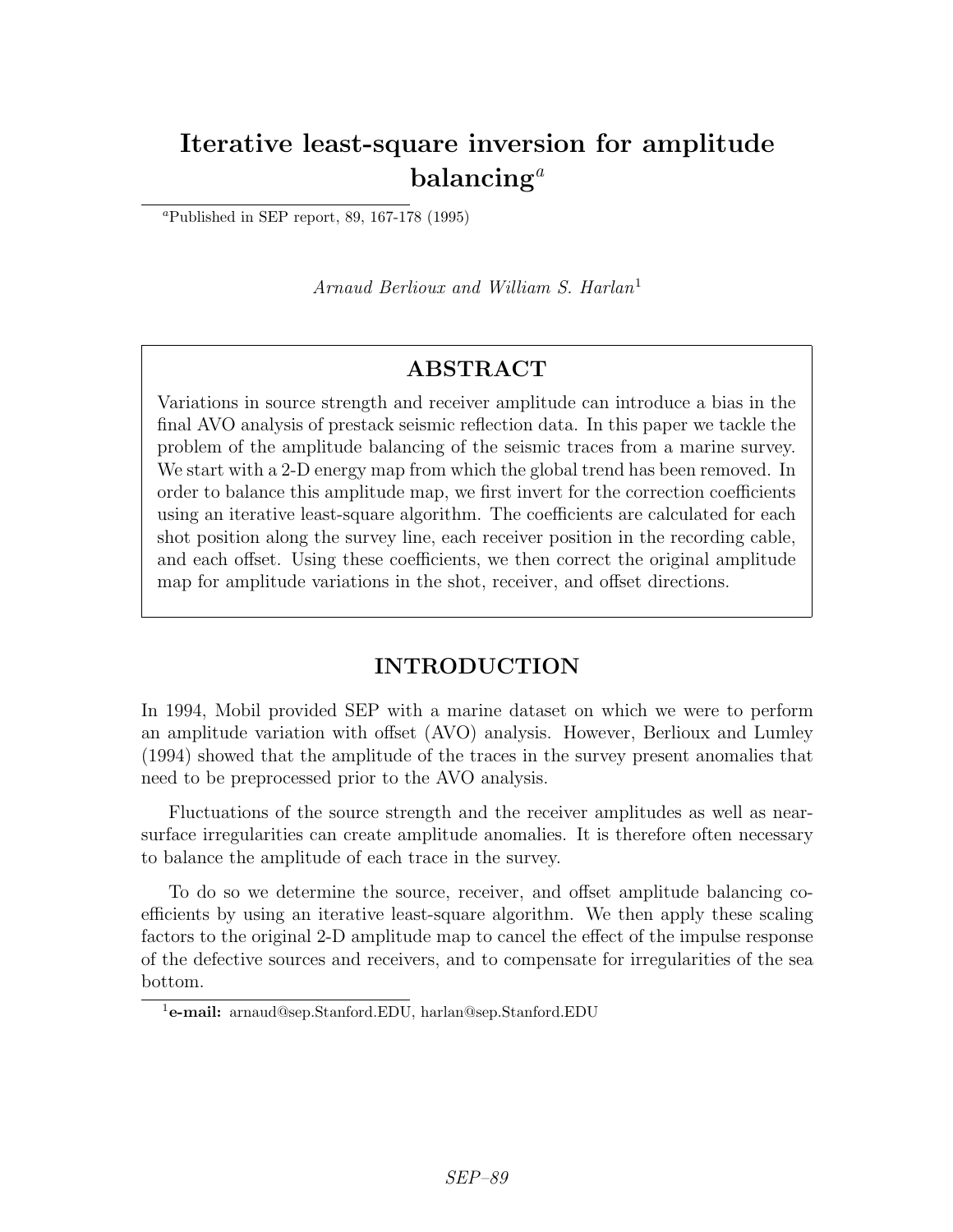# Iterative least-square inversion for amplitude balancing<sup>a</sup>

<sup>a</sup>Published in SEP report, 89, 167-178 (1995)

Arnaud Berlioux and William S. Harlan<sup>1</sup>

# ABSTRACT

Variations in source strength and receiver amplitude can introduce a bias in the final AVO analysis of prestack seismic reflection data. In this paper we tackle the problem of the amplitude balancing of the seismic traces from a marine survey. We start with a 2-D energy map from which the global trend has been removed. In order to balance this amplitude map, we first invert for the correction coefficients using an iterative least-square algorithm. The coefficients are calculated for each shot position along the survey line, each receiver position in the recording cable, and each offset. Using these coefficients, we then correct the original amplitude map for amplitude variations in the shot, receiver, and offset directions.

# INTRODUCTION

In 1994, Mobil provided SEP with a marine dataset on which we were to perform an amplitude variation with offset (AVO) analysis. However, Berlioux and Lumley (1994) showed that the amplitude of the traces in the survey present anomalies that need to be preprocessed prior to the AVO analysis.

Fluctuations of the source strength and the receiver amplitudes as well as nearsurface irregularities can create amplitude anomalies. It is therefore often necessary to balance the amplitude of each trace in the survey.

To do so we determine the source, receiver, and offset amplitude balancing coefficients by using an iterative least-square algorithm. We then apply these scaling factors to the original 2-D amplitude map to cancel the effect of the impulse response of the defective sources and receivers, and to compensate for irregularities of the sea bottom.

<sup>1</sup>e-mail: arnaud@sep.Stanford.EDU, harlan@sep.Stanford.EDU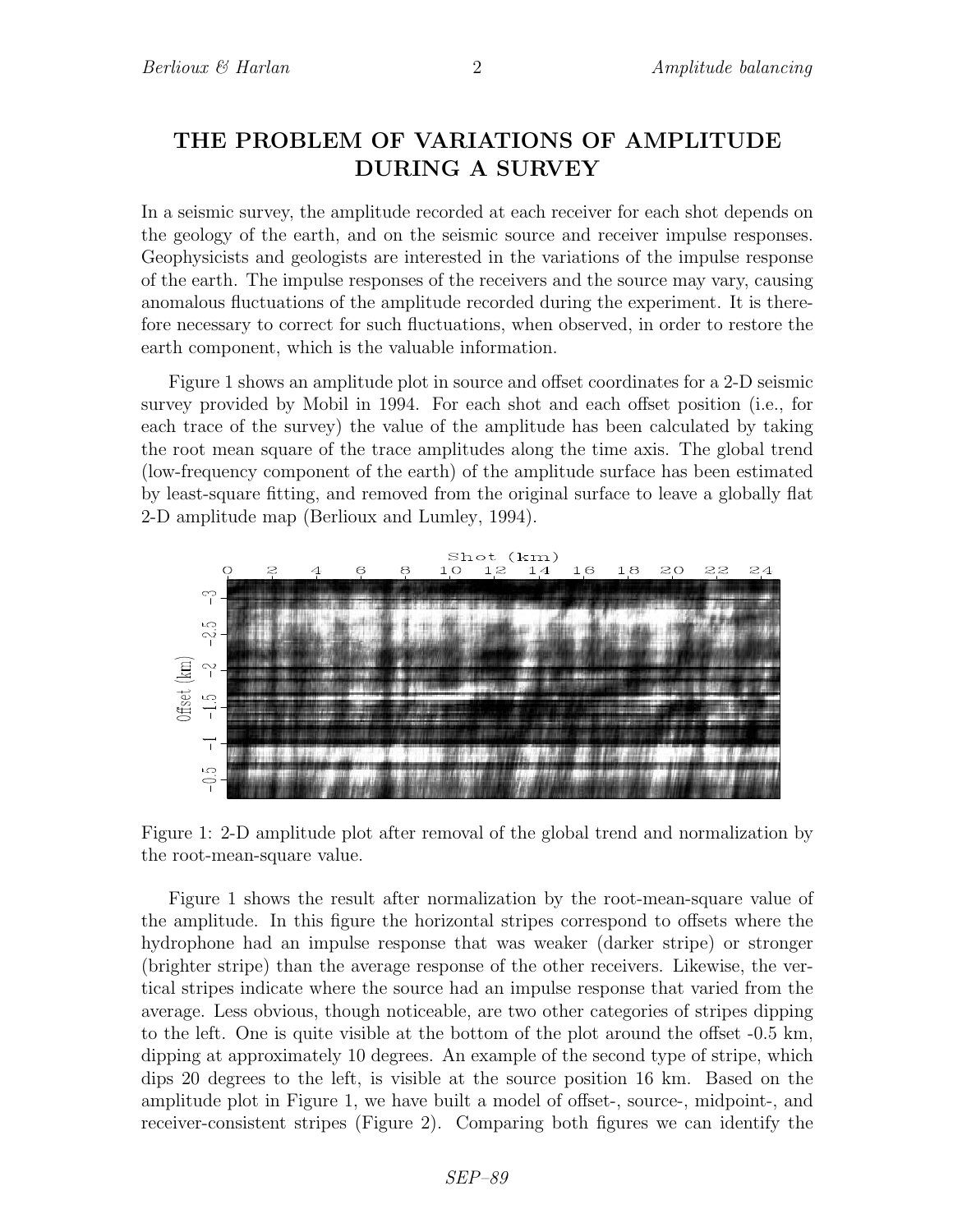# THE PROBLEM OF VARIATIONS OF AMPLITUDE DURING A SURVEY

In a seismic survey, the amplitude recorded at each receiver for each shot depends on the geology of the earth, and on the seismic source and receiver impulse responses. Geophysicists and geologists are interested in the variations of the impulse response of the earth. The impulse responses of the receivers and the source may vary, causing anomalous fluctuations of the amplitude recorded during the experiment. It is therefore necessary to correct for such fluctuations, when observed, in order to restore the earth component, which is the valuable information.

Figure 1 shows an amplitude plot in source and offset coordinates for a 2-D seismic survey provided by Mobil in 1994. For each shot and each offset position (i.e., for each trace of the survey) the value of the amplitude has been calculated by taking the root mean square of the trace amplitudes along the time axis. The global trend (low-frequency component of the earth) of the amplitude surface has been estimated by least-square fitting, and removed from the original surface to leave a globally flat 2-D amplitude map (Berlioux and Lumley, 1994).



Figure 1: 2-D amplitude plot after removal of the global trend and normalization by the root-mean-square value.

Figure 1 shows the result after normalization by the root-mean-square value of the amplitude. In this figure the horizontal stripes correspond to offsets where the hydrophone had an impulse response that was weaker (darker stripe) or stronger (brighter stripe) than the average response of the other receivers. Likewise, the vertical stripes indicate where the source had an impulse response that varied from the average. Less obvious, though noticeable, are two other categories of stripes dipping to the left. One is quite visible at the bottom of the plot around the offset -0.5 km, dipping at approximately 10 degrees. An example of the second type of stripe, which dips 20 degrees to the left, is visible at the source position 16 km. Based on the amplitude plot in Figure 1, we have built a model of offset-, source-, midpoint-, and receiver-consistent stripes (Figure 2). Comparing both figures we can identify the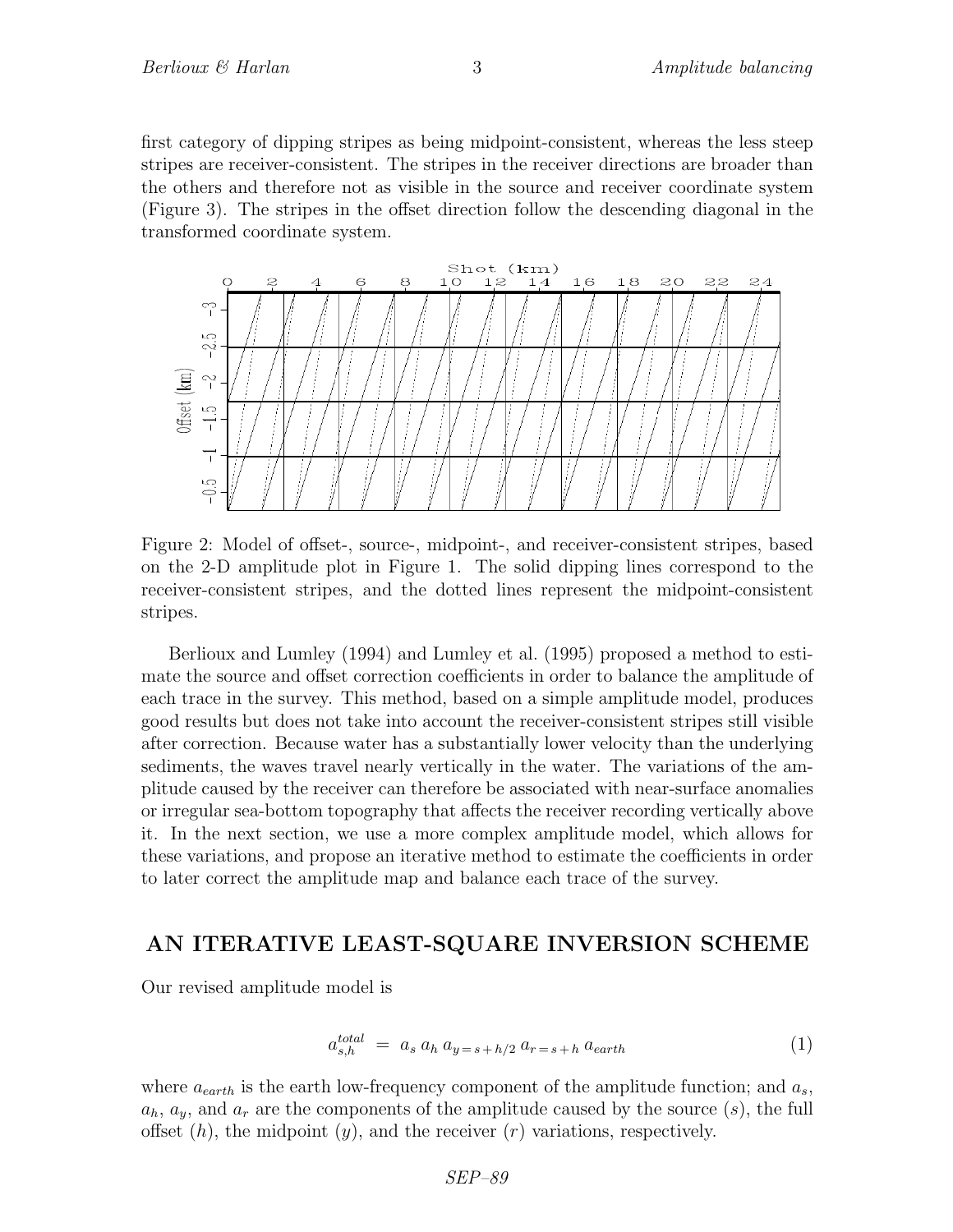first category of dipping stripes as being midpoint-consistent, whereas the less steep stripes are receiver-consistent. The stripes in the receiver directions are broader than the others and therefore not as visible in the source and receiver coordinate system (Figure 3). The stripes in the offset direction follow the descending diagonal in the transformed coordinate system.



Figure 2: Model of offset-, source-, midpoint-, and receiver-consistent stripes, based on the 2-D amplitude plot in Figure 1. The solid dipping lines correspond to the receiver-consistent stripes, and the dotted lines represent the midpoint-consistent stripes.

Berlioux and Lumley (1994) and Lumley et al. (1995) proposed a method to estimate the source and offset correction coefficients in order to balance the amplitude of each trace in the survey. This method, based on a simple amplitude model, produces good results but does not take into account the receiver-consistent stripes still visible after correction. Because water has a substantially lower velocity than the underlying sediments, the waves travel nearly vertically in the water. The variations of the amplitude caused by the receiver can therefore be associated with near-surface anomalies or irregular sea-bottom topography that affects the receiver recording vertically above it. In the next section, we use a more complex amplitude model, which allows for these variations, and propose an iterative method to estimate the coefficients in order to later correct the amplitude map and balance each trace of the survey.

#### AN ITERATIVE LEAST-SQUARE INVERSION SCHEME

Our revised amplitude model is

$$
a_{s,h}^{total} = a_s a_h a_{y=s+h/2} a_{r=s+h} a_{earth}
$$
\n
$$
(1)
$$

where  $a_{earth}$  is the earth low-frequency component of the amplitude function; and  $a_s$ ,  $a_h, a_y$ , and  $a_r$  are the components of the amplitude caused by the source  $(s)$ , the full offset  $(h)$ , the midpoint  $(y)$ , and the receiver  $(r)$  variations, respectively.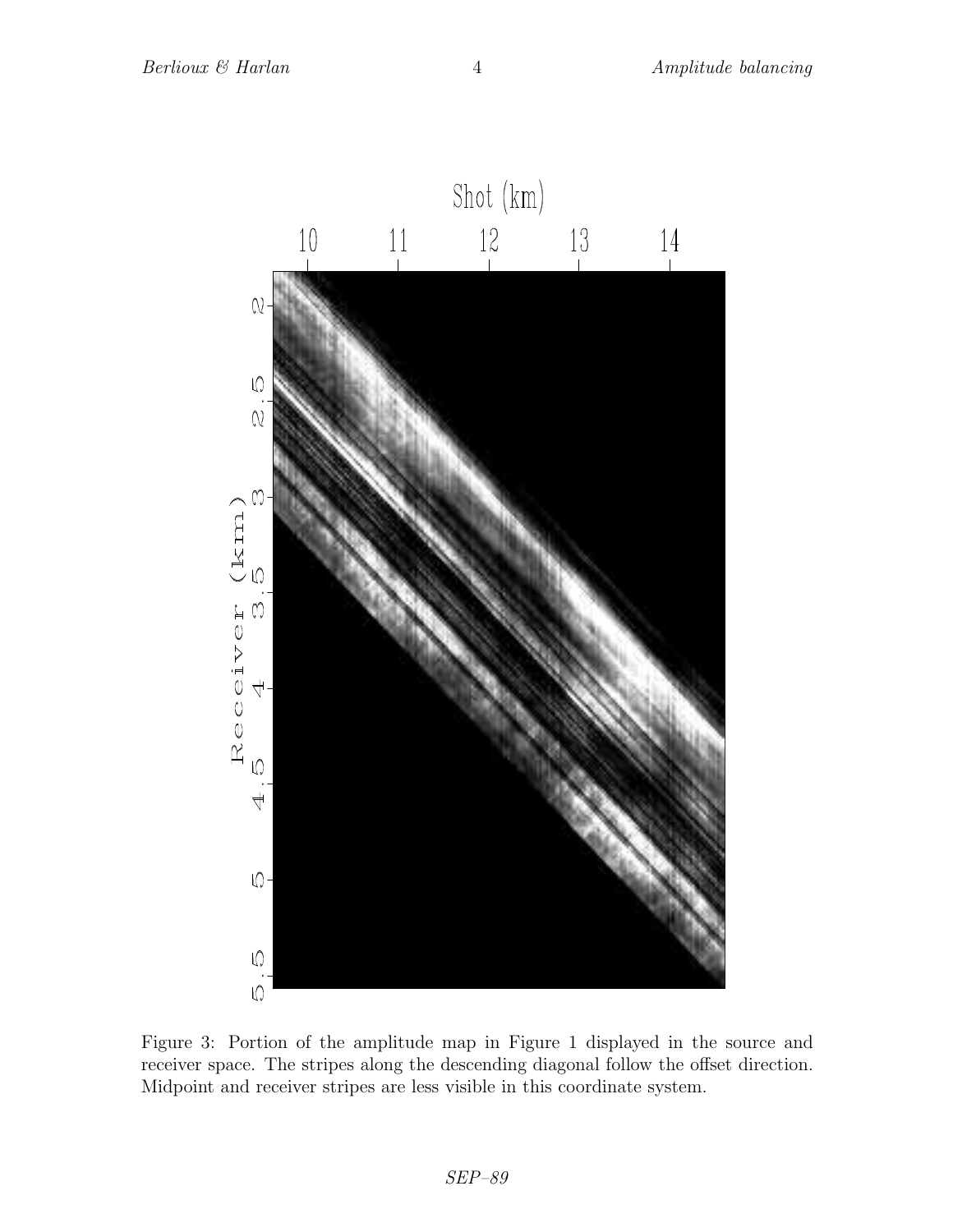

Figure 3: Portion of the amplitude map in Figure 1 displayed in the source and receiver space. The stripes along the descending diagonal follow the offset direction. Midpoint and receiver stripes are less visible in this coordinate system.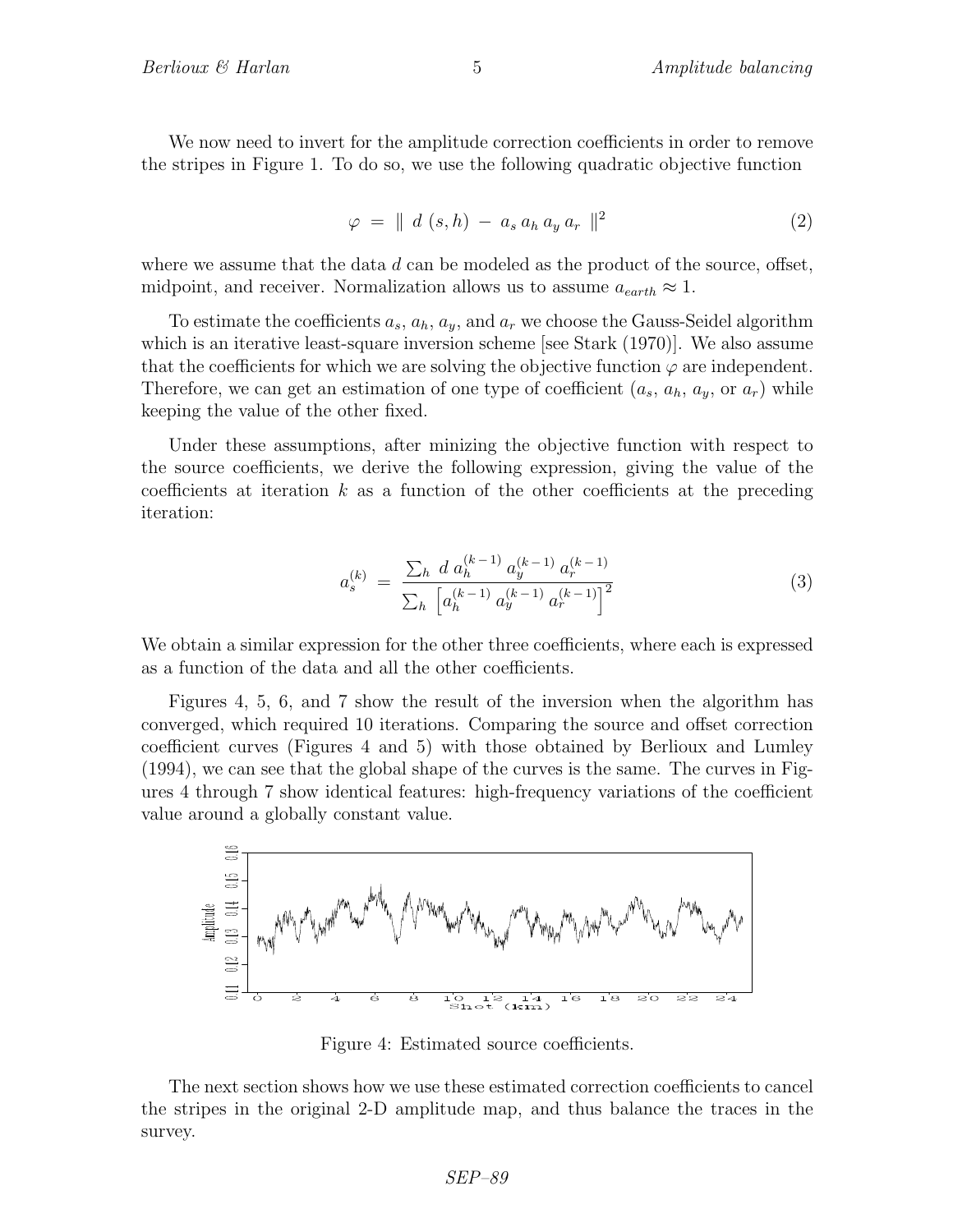We now need to invert for the amplitude correction coefficients in order to remove the stripes in Figure 1. To do so, we use the following quadratic objective function

$$
\varphi = \parallel d \ (s, h) - a_s a_h a_y a_r \parallel^2 \tag{2}
$$

where we assume that the data  $d$  can be modeled as the product of the source, offset, midpoint, and receiver. Normalization allows us to assume  $a_{earth} \approx 1$ .

To estimate the coefficients  $a_s$ ,  $a_h$ ,  $a_y$ , and  $a_r$  we choose the Gauss-Seidel algorithm which is an iterative least-square inversion scheme [see Stark  $(1970)$ ]. We also assume that the coefficients for which we are solving the objective function  $\varphi$  are independent. Therefore, we can get an estimation of one type of coefficient  $(a_s, a_h, a_y, \text{or } a_r)$  while keeping the value of the other fixed.

Under these assumptions, after minizing the objective function with respect to the source coefficients, we derive the following expression, giving the value of the coefficients at iteration  $k$  as a function of the other coefficients at the preceding iteration:

$$
a_s^{(k)} = \frac{\sum_h d a_h^{(k-1)} a_y^{(k-1)} a_r^{(k-1)}}{\sum_h \left[ a_h^{(k-1)} a_y^{(k-1)} a_r^{(k-1)} \right]^2}
$$
(3)

We obtain a similar expression for the other three coefficients, where each is expressed as a function of the data and all the other coefficients.

Figures 4, 5, 6, and 7 show the result of the inversion when the algorithm has converged, which required 10 iterations. Comparing the source and offset correction coefficient curves (Figures 4 and 5) with those obtained by Berlioux and Lumley (1994), we can see that the global shape of the curves is the same. The curves in Figures 4 through 7 show identical features: high-frequency variations of the coefficient value around a globally constant value.



Figure 4: Estimated source coefficients.

The next section shows how we use these estimated correction coefficients to cancel the stripes in the original 2-D amplitude map, and thus balance the traces in the survey.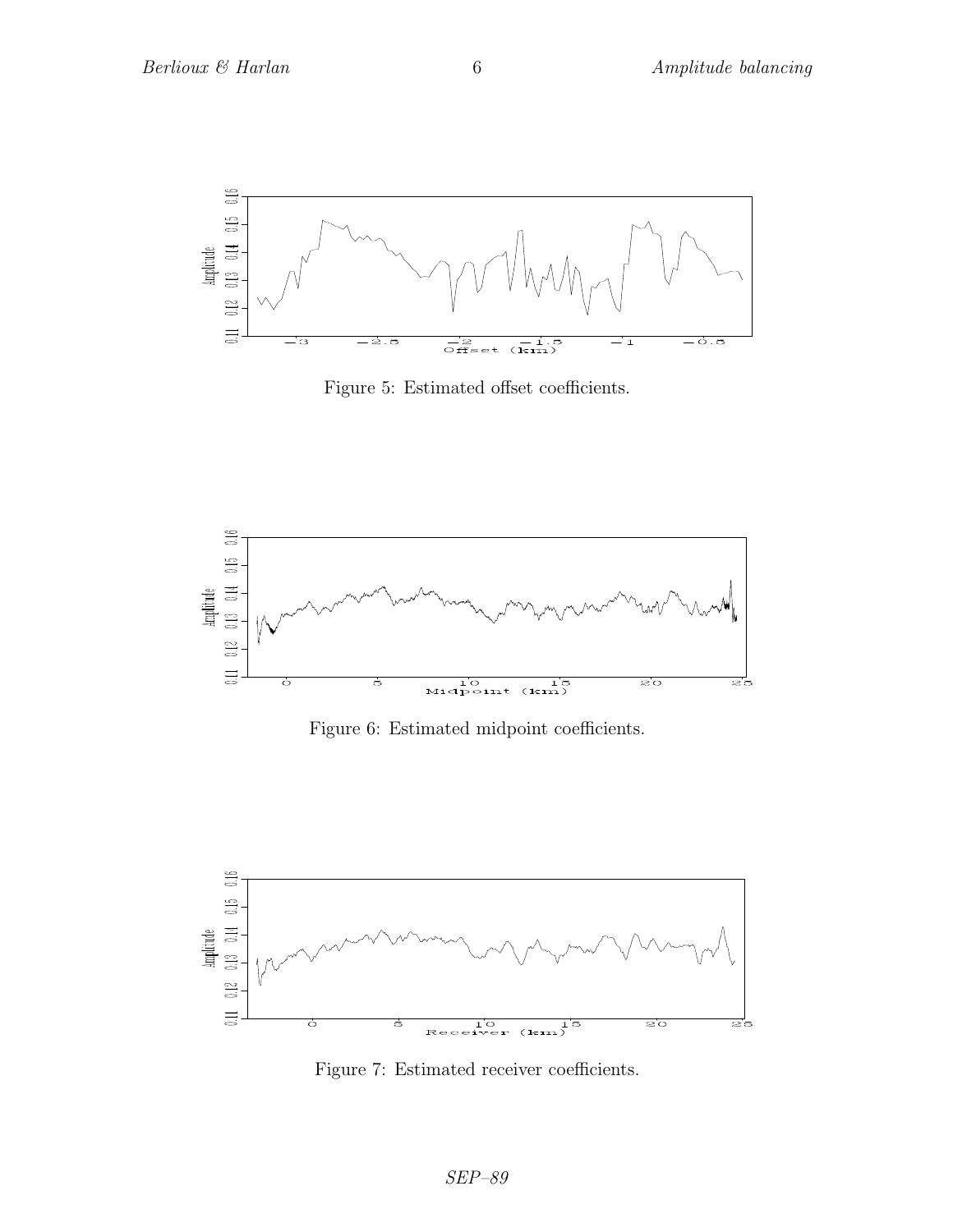

Figure 5: Estimated offset coefficients.



Figure 6: Estimated midpoint coefficients.



Figure 7: Estimated receiver coefficients.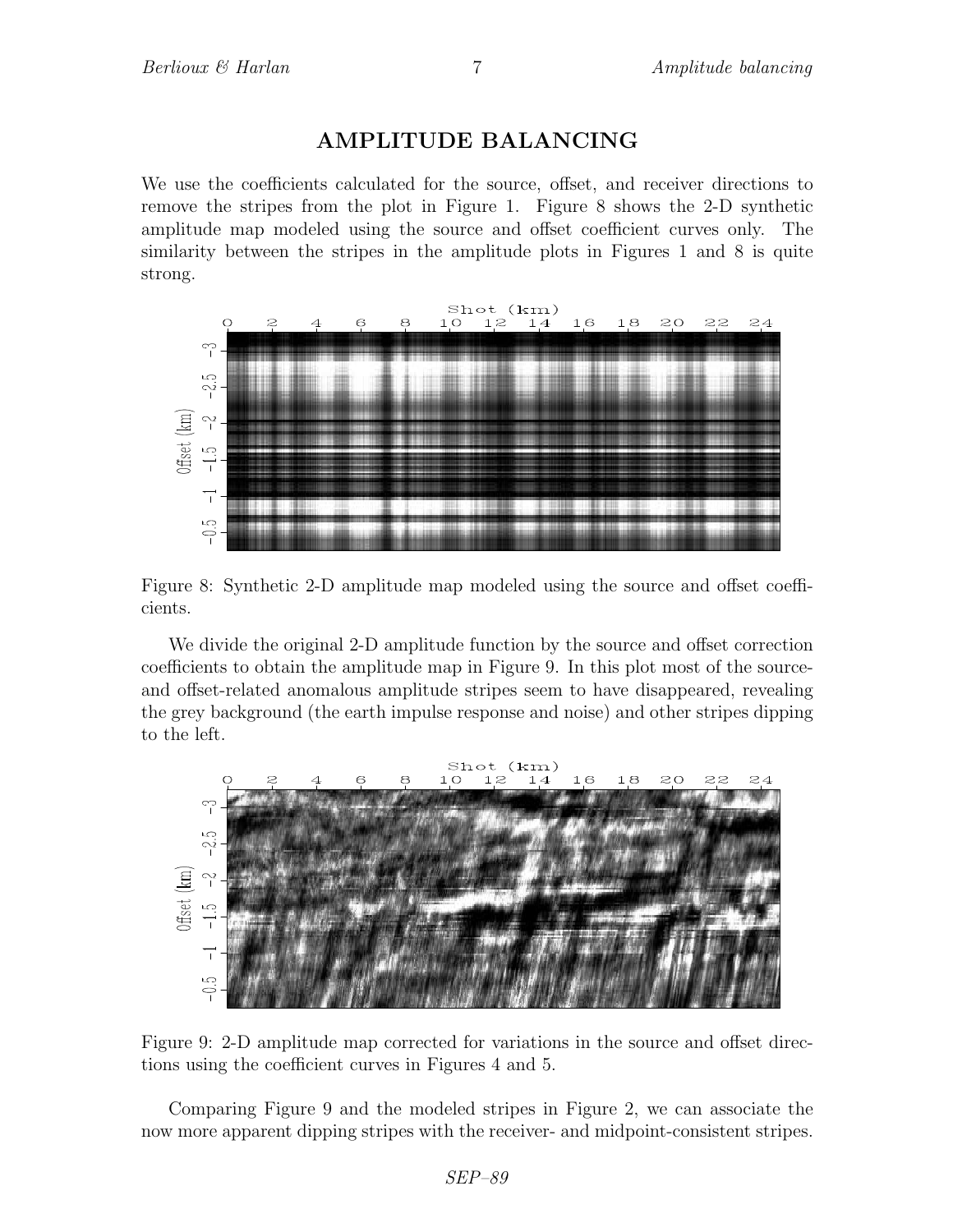### AMPLITUDE BALANCING

We use the coefficients calculated for the source, offset, and receiver directions to remove the stripes from the plot in Figure 1. Figure 8 shows the 2-D synthetic amplitude map modeled using the source and offset coefficient curves only. The similarity between the stripes in the amplitude plots in Figures 1 and 8 is quite strong.



Figure 8: Synthetic 2-D amplitude map modeled using the source and offset coefficients.

We divide the original 2-D amplitude function by the source and offset correction coefficients to obtain the amplitude map in Figure 9. In this plot most of the sourceand offset-related anomalous amplitude stripes seem to have disappeared, revealing the grey background (the earth impulse response and noise) and other stripes dipping to the left.



Figure 9: 2-D amplitude map corrected for variations in the source and offset directions using the coefficient curves in Figures 4 and 5.

Comparing Figure 9 and the modeled stripes in Figure 2, we can associate the now more apparent dipping stripes with the receiver- and midpoint-consistent stripes.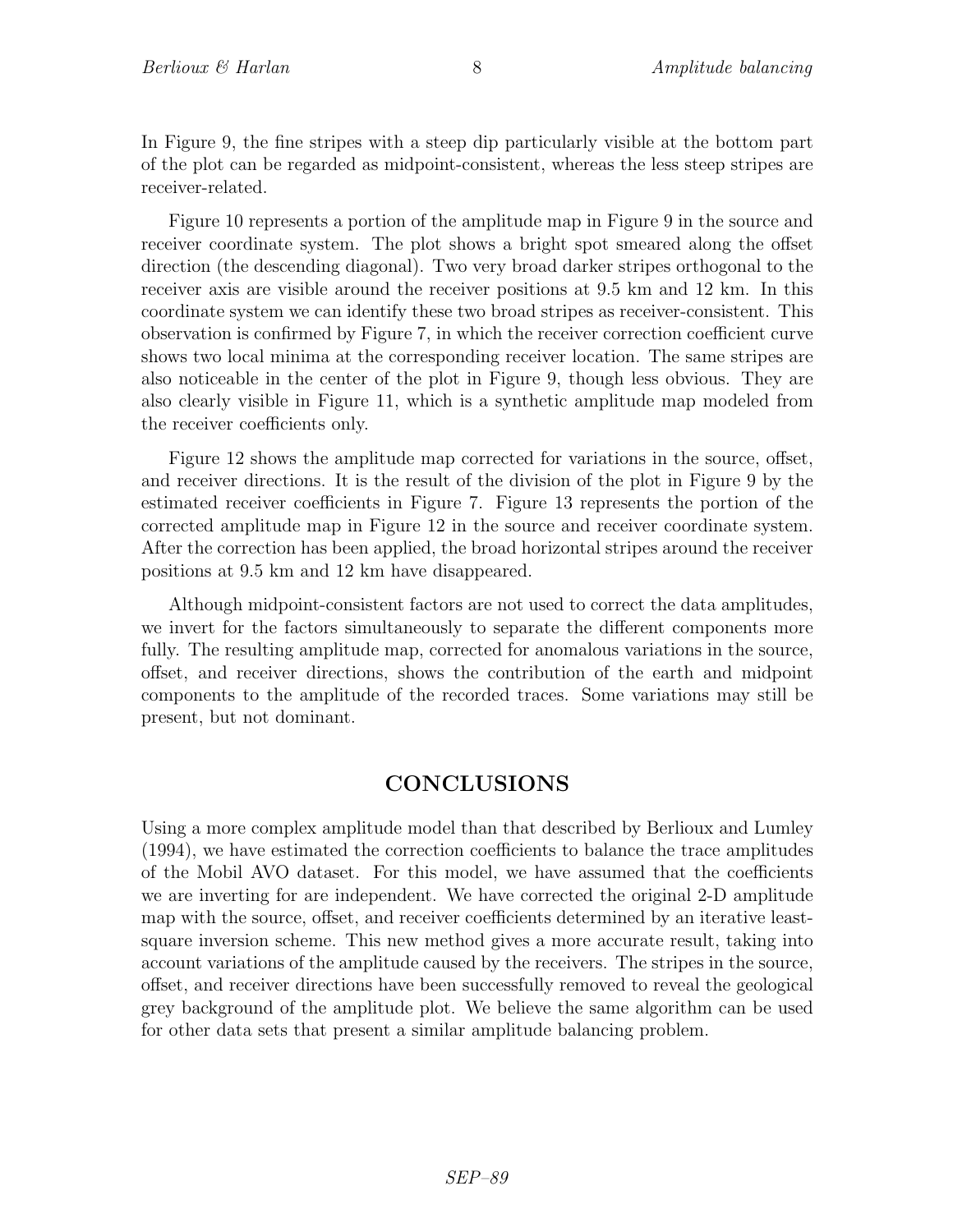In Figure 9, the fine stripes with a steep dip particularly visible at the bottom part of the plot can be regarded as midpoint-consistent, whereas the less steep stripes are receiver-related.

Figure 10 represents a portion of the amplitude map in Figure 9 in the source and receiver coordinate system. The plot shows a bright spot smeared along the offset direction (the descending diagonal). Two very broad darker stripes orthogonal to the receiver axis are visible around the receiver positions at 9.5 km and 12 km. In this coordinate system we can identify these two broad stripes as receiver-consistent. This observation is confirmed by Figure 7, in which the receiver correction coefficient curve shows two local minima at the corresponding receiver location. The same stripes are also noticeable in the center of the plot in Figure 9, though less obvious. They are also clearly visible in Figure 11, which is a synthetic amplitude map modeled from the receiver coefficients only.

Figure 12 shows the amplitude map corrected for variations in the source, offset, and receiver directions. It is the result of the division of the plot in Figure 9 by the estimated receiver coefficients in Figure 7. Figure 13 represents the portion of the corrected amplitude map in Figure 12 in the source and receiver coordinate system. After the correction has been applied, the broad horizontal stripes around the receiver positions at 9.5 km and 12 km have disappeared.

Although midpoint-consistent factors are not used to correct the data amplitudes, we invert for the factors simultaneously to separate the different components more fully. The resulting amplitude map, corrected for anomalous variations in the source, offset, and receiver directions, shows the contribution of the earth and midpoint components to the amplitude of the recorded traces. Some variations may still be present, but not dominant.

### CONCLUSIONS

Using a more complex amplitude model than that described by Berlioux and Lumley (1994), we have estimated the correction coefficients to balance the trace amplitudes of the Mobil AVO dataset. For this model, we have assumed that the coefficients we are inverting for are independent. We have corrected the original 2-D amplitude map with the source, offset, and receiver coefficients determined by an iterative leastsquare inversion scheme. This new method gives a more accurate result, taking into account variations of the amplitude caused by the receivers. The stripes in the source, offset, and receiver directions have been successfully removed to reveal the geological grey background of the amplitude plot. We believe the same algorithm can be used for other data sets that present a similar amplitude balancing problem.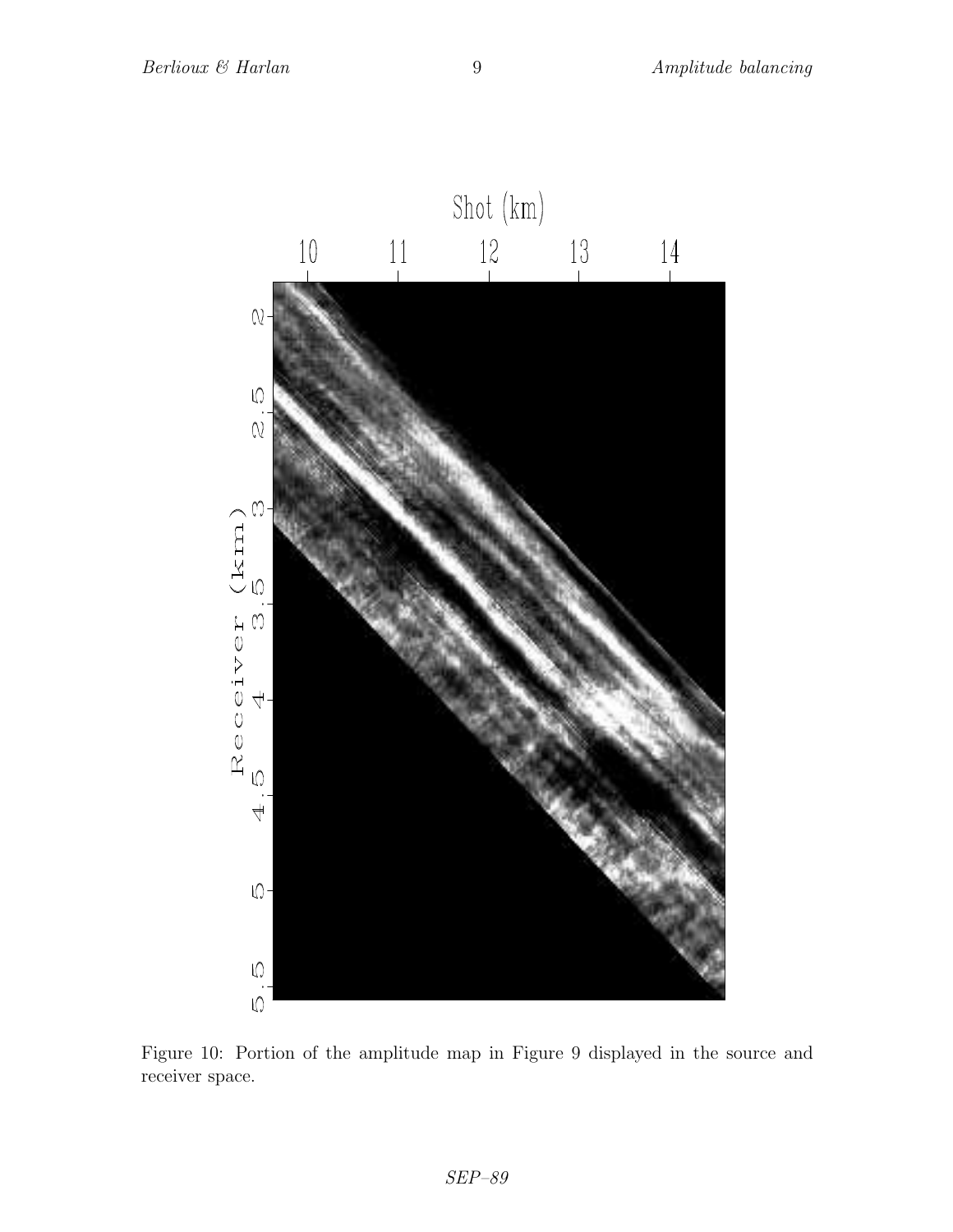

Figure 10: Portion of the amplitude map in Figure 9 displayed in the source and receiver space.

 $\it SEP-89$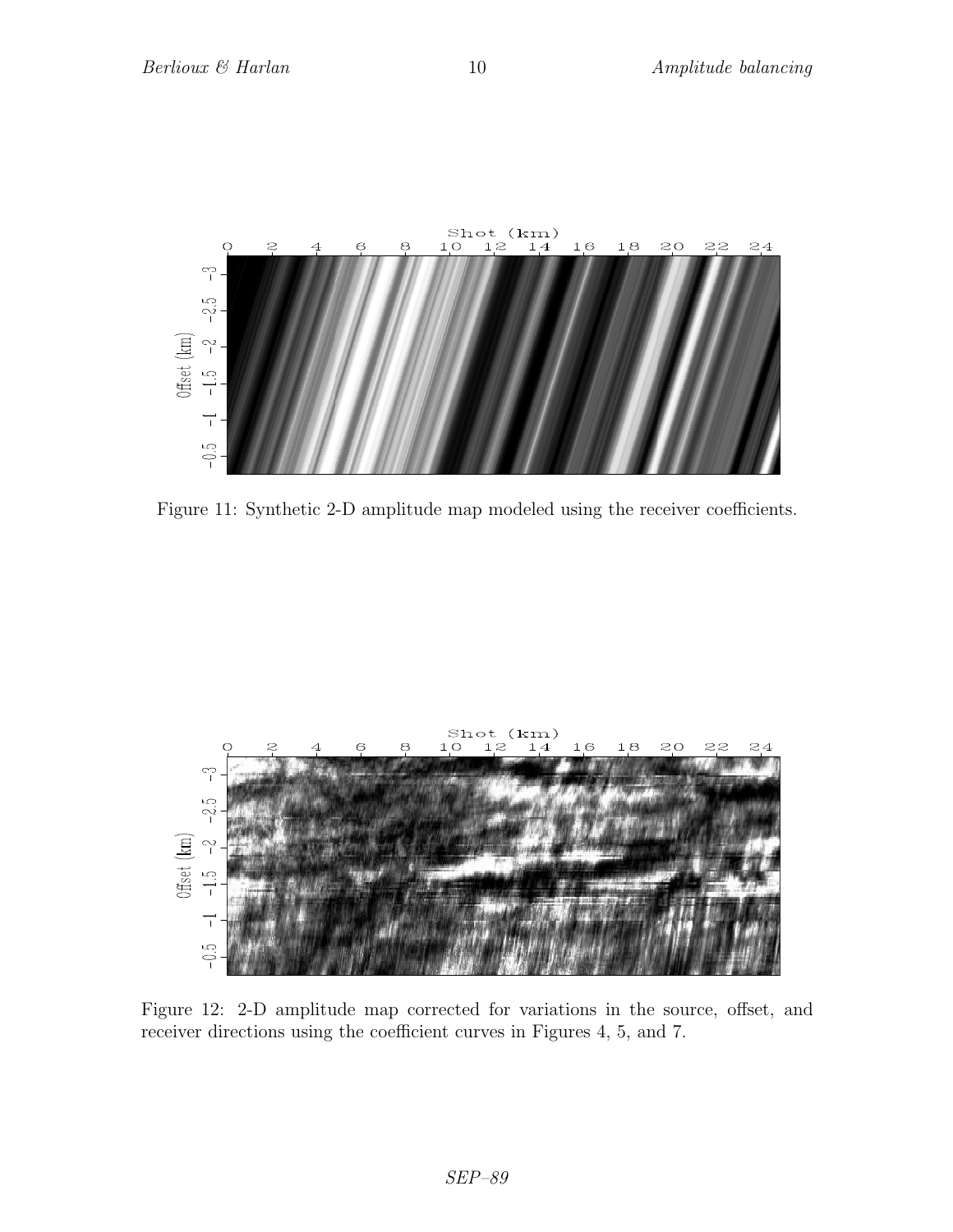

Figure 11: Synthetic 2-D amplitude map modeled using the receiver coefficients.



Figure 12: 2-D amplitude map corrected for variations in the source, offset, and receiver directions using the coefficient curves in Figures 4, 5, and 7.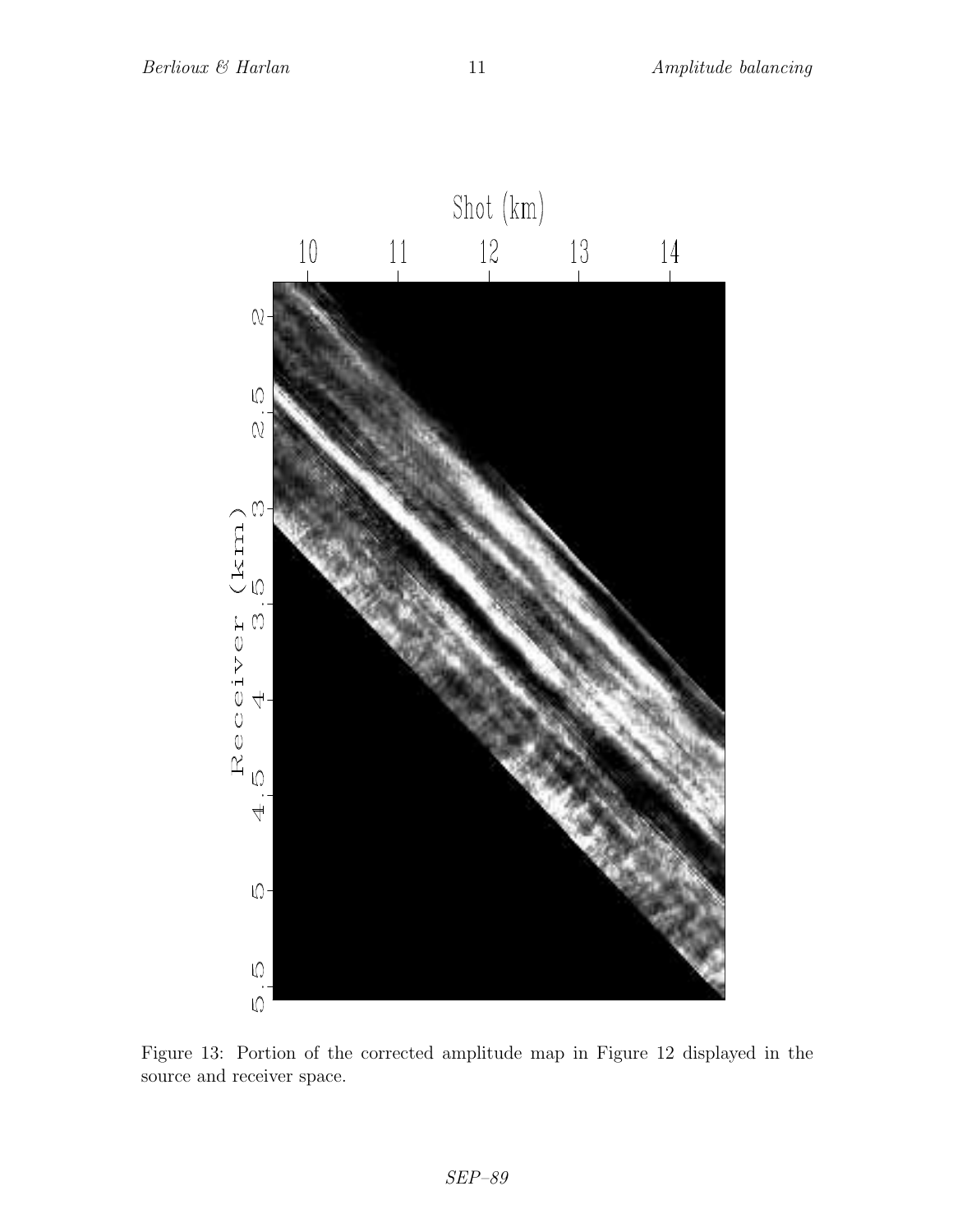

Figure 13: Portion of the corrected amplitude map in Figure 12 displayed in the source and receiver space.